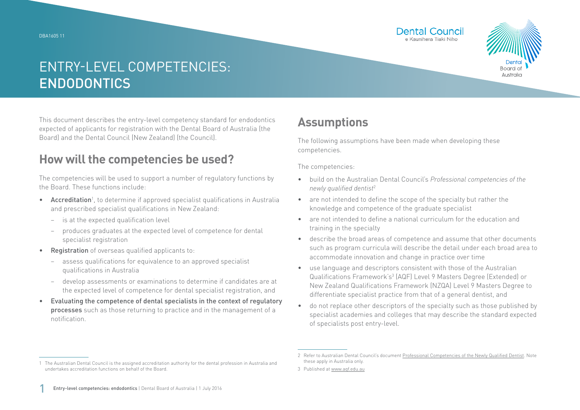



This document describes the entry-level competency standard for endodontics expected of applicants for registration with the Dental Board of Australia (the Board) and the Dental Council (New Zealand) (the Council).

### **How will the competencies be used?**

The competencies will be used to support a number of regulatory functions by the Board. These functions include:

- Accreditation<sup>1</sup>, to determine if approved specialist qualifications in Australia and prescribed specialist qualifications in New Zealand:
	- − is at the expected qualification level
	- − produces graduates at the expected level of competence for dental specialist registration
- Registration of overseas qualified applicants to:
	- assess qualifications for equivalence to an approved specialist qualifications in Australia
	- − develop assessments or examinations to determine if candidates are at the expected level of competence for dental specialist registration, and
- Evaluating the competence of dental specialists in the context of regulatory processes such as those returning to practice and in the management of a notification.

## **Assumptions**

The following assumptions have been made when developing these competencies.

The competencies:

- build on the Australian Dental Council's *Professional competencies of the newly qualified dentist*<sup>2</sup>
- are not intended to define the scope of the specialty but rather the knowledge and competence of the graduate specialist
- are not intended to define a national curriculum for the education and training in the specialty
- describe the broad areas of competence and assume that other documents such as program curricula will describe the detail under each broad area to accommodate innovation and change in practice over time
- use language and descriptors consistent with those of the Australian Qualifications Framework's<sup>3</sup> (AQF) Level 9 Masters Degree (Extended) or New Zealand Qualifications Framework (NZQA) Level 9 Masters Degree to differentiate specialist practice from that of a general dentist, and
- do not replace other descriptors of the specialty such as those published by specialist academies and colleges that may describe the standard expected of specialists post entry-level.

<sup>1</sup> The Australian Dental Council is the assigned accreditation authority for the dental profession in Australia and undertakes accreditation functions on behalf of the Board.

<sup>2</sup> Refer to Australian Dental Council's document [Professional Competencies of the Newly Qualified Dentist.](http://Professional Competencies of the Newly Qualified Dentist) Note these apply in Australia only.

<sup>3</sup> Published at [www.aqf.edu.au](http://www.aqf.edu.au)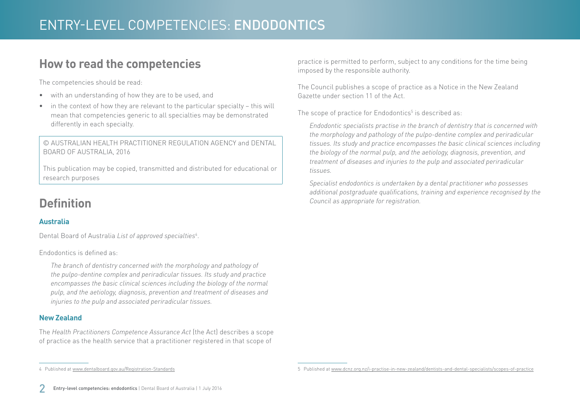### **How to read the competencies**

The competencies should be read:

- with an understanding of how they are to be used, and
- in the context of how they are relevant to the particular specialty this will mean that competencies generic to all specialties may be demonstrated differently in each specialty.

© AUSTRALIAN HEALTH PRACTITIONER REGULATION AGENCY and DENTAL BOARD OF AUSTRALIA, 2016

This publication may be copied, transmitted and distributed for educational or research purposes

## **Definition**

#### **Australia**

Dental Board of Australia *List of approved specialties*<sup>4</sup> .

Endodontics is defined as:

*The branch of dentistry concerned with the morphology and pathology of the pulpo-dentine complex and periradicular tissues. Its study and practice encompasses the basic clinical sciences including the biology of the normal pulp, and the aetiology, diagnosis, prevention and treatment of diseases and injuries to the pulp and associated periradicular tissues.*

#### **New Zealand**

The *Health Practitioners Competence Assurance Act* (the Act) describes a scope of practice as the health service that a practitioner registered in that scope of

practice is permitted to perform, subject to any conditions for the time being imposed by the responsible authority.

The Council publishes a scope of practice as a Notice in the New Zealand Gazette under section 11 of the Act.

The scope of practice for Endodontics $^5$  is described as:

*Endodontic specialists practise in the branch of dentistry that is concerned with the morphology and pathology of the pulpo-dentine complex and periradicular tissues. Its study and practice encompasses the basic clinical sciences including the biology of the normal pulp, and the aetiology, diagnosis, prevention, and treatment of diseases and injuries to the pulp and associated periradicular tissues.*

*Specialist endodontics is undertaken by a dental practitioner who possesses additional postgraduate qualifications, training and experience recognised by the Council as appropriate for registration.* 

4 Published at [www.dentalboard.gov.au/Registration-Standards](http://www.dentalboard.gov.au/Registration-Standards.aspx)

<sup>5</sup> Published at [www.dcnz.org.nz/i-practise-in-new-zealand/dentists-and-dental-specialists/scopes-of-practice](http://www.dcnz.org.nz/i-practise-in-new-zealand/dentists-and-dental-specialists/scopes-of-practice)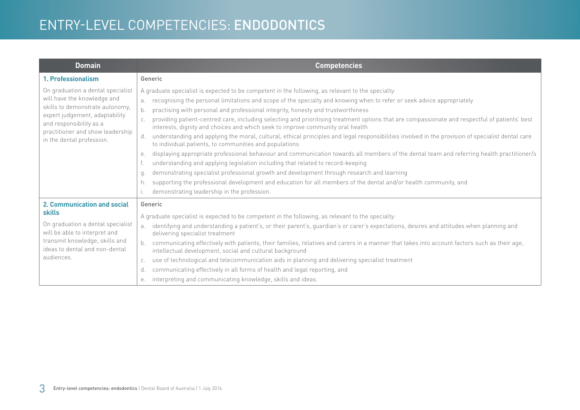| <b>Domain</b>                                                                                                                                                                                                                     | <b>Competencies</b>                                                                                                                                                                                                                                                                                                                                                                                                                                                                                                                                                                                                                                                                                                                                                                                                                                                                                                                                                                                                                                                                                                                                                                                                                                                                                      |
|-----------------------------------------------------------------------------------------------------------------------------------------------------------------------------------------------------------------------------------|----------------------------------------------------------------------------------------------------------------------------------------------------------------------------------------------------------------------------------------------------------------------------------------------------------------------------------------------------------------------------------------------------------------------------------------------------------------------------------------------------------------------------------------------------------------------------------------------------------------------------------------------------------------------------------------------------------------------------------------------------------------------------------------------------------------------------------------------------------------------------------------------------------------------------------------------------------------------------------------------------------------------------------------------------------------------------------------------------------------------------------------------------------------------------------------------------------------------------------------------------------------------------------------------------------|
| 1. Professionalism                                                                                                                                                                                                                | Generic                                                                                                                                                                                                                                                                                                                                                                                                                                                                                                                                                                                                                                                                                                                                                                                                                                                                                                                                                                                                                                                                                                                                                                                                                                                                                                  |
| On graduation a dental specialist<br>will have the knowledge and<br>skills to demonstrate autonomy,<br>expert judgement, adaptability<br>and responsibility as a<br>practitioner and show leadership<br>in the dental profession. | A graduate specialist is expected to be competent in the following, as relevant to the specialty:<br>recognising the personal limitations and scope of the specialty and knowing when to refer or seek advice appropriately<br>a.<br>practising with personal and professional integrity, honesty and trustworthiness<br>b.<br>providing patient-centred care, including selecting and prioritising treatment options that are compassionate and respectful of patients' best<br>interests, dignity and choices and which seek to improve community oral health<br>understanding and applying the moral, cultural, ethical principles and legal responsibilities involved in the provision of specialist dental care<br>d.<br>to individual patients, to communities and populations<br>displaying appropriate professional behaviour and communication towards all members of the dental team and referring health practitioner/s<br>е.<br>understanding and applying legislation including that related to record-keeping<br>demonstrating specialist professional growth and development through research and learning<br>q.<br>supporting the professional development and education for all members of the dental and/or health community, and<br>h.<br>demonstrating leadership in the profession. |
| <b>2. Communication and social</b><br><b>skills</b><br>On graduation a dental specialist<br>will be able to interpret and<br>transmit knowledge, skills and<br>ideas to dental and non-dental<br>audiences.                       | Generic<br>A graduate specialist is expected to be competent in the following, as relevant to the specialty:<br>identifying and understanding a patient's, or their parent's, guardian's or carer's expectations, desires and attitudes when planning and<br>a.<br>delivering specialist treatment<br>communicating effectively with patients, their families, relatives and carers in a manner that takes into account factors such as their age,<br>intellectual development, social and cultural background<br>use of technological and telecommunication aids in planning and delivering specialist treatment<br>C.<br>communicating effectively in all forms of health and legal reporting, and<br>d.<br>interpreting and communicating knowledge, skills and ideas.<br>е.                                                                                                                                                                                                                                                                                                                                                                                                                                                                                                                          |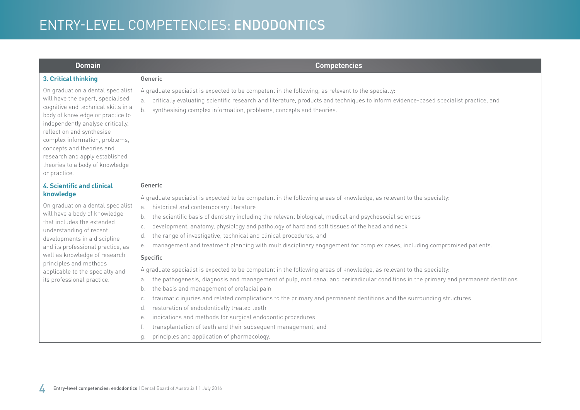| the pathogenesis, diagnosis and management of pulp, root canal and periradicular conditions in the primary and permanent dentitions |
|-------------------------------------------------------------------------------------------------------------------------------------|
|                                                                                                                                     |
|                                                                                                                                     |
|                                                                                                                                     |